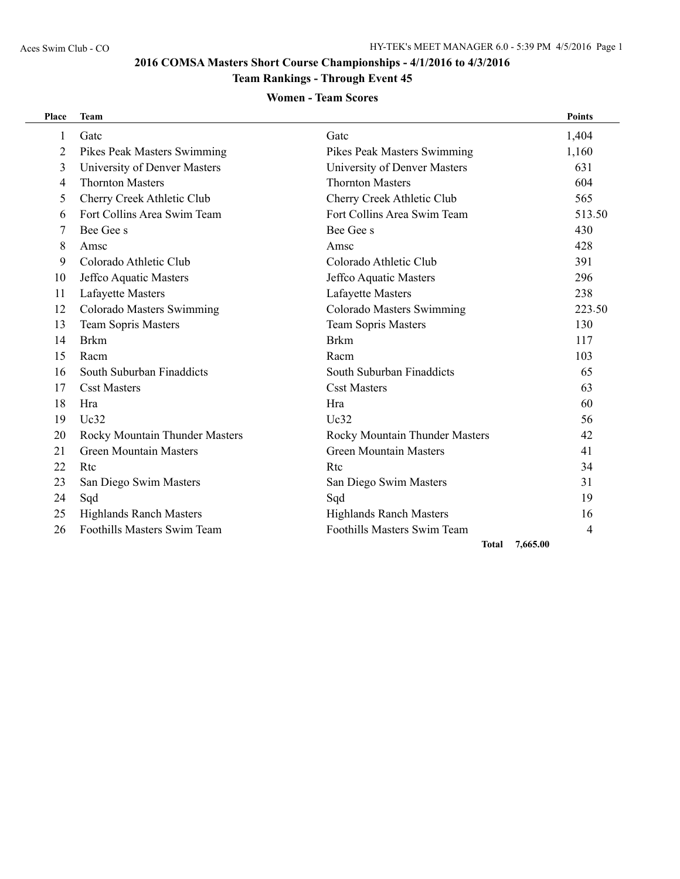# **2016 COMSA Masters Short Course Championships - 4/1/2016 to 4/3/2016**

# **Team Rankings - Through Event 45**

### **Women - Team Scores**

| <b>Place</b> | <b>Team</b>                    |                                | <b>Points</b> |
|--------------|--------------------------------|--------------------------------|---------------|
| $\mathbf{1}$ | Gatc                           | Gatc                           | 1,404         |
| 2            | Pikes Peak Masters Swimming    | Pikes Peak Masters Swimming    | 1,160         |
| 3            | University of Denver Masters   | University of Denver Masters   | 631           |
| 4            | <b>Thornton Masters</b>        | <b>Thornton Masters</b>        | 604           |
| 5            | Cherry Creek Athletic Club     | Cherry Creek Athletic Club     | 565           |
| 6            | Fort Collins Area Swim Team    | Fort Collins Area Swim Team    | 513.50        |
| 7            | Bee Gee s                      | Bee Gee s                      | 430           |
| 8            | Amsc                           | Amsc                           | 428           |
| 9            | Colorado Athletic Club         | Colorado Athletic Club         | 391           |
| 10           | Jeffco Aquatic Masters         | Jeffco Aquatic Masters         | 296           |
| 11           | Lafayette Masters              | Lafayette Masters              | 238           |
| 12           | Colorado Masters Swimming      | Colorado Masters Swimming      | 223.50        |
| 13           | <b>Team Sopris Masters</b>     | <b>Team Sopris Masters</b>     | 130           |
| 14           | <b>Brkm</b>                    | <b>Brkm</b>                    | 117           |
| 15           | Racm                           | Racm                           | 103           |
| 16           | South Suburban Finaddicts      | South Suburban Finaddicts      | 65            |
| 17           | <b>Csst Masters</b>            | <b>Csst Masters</b>            | 63            |
| 18           | Hra                            | Hra                            | 60            |
| 19           | Uc32                           | Uc32                           | 56            |
| 20           | Rocky Mountain Thunder Masters | Rocky Mountain Thunder Masters | 42            |
| 21           | <b>Green Mountain Masters</b>  | <b>Green Mountain Masters</b>  | 41            |
| 22           | Rtc                            | Rtc                            | 34            |
| 23           | San Diego Swim Masters         | San Diego Swim Masters         | 31            |
| 24           | Sqd                            | Sqd                            | 19            |
| 25           | <b>Highlands Ranch Masters</b> | <b>Highlands Ranch Masters</b> | 16            |
| 26           | Foothills Masters Swim Team    | Foothills Masters Swim Team    | 4             |
|              |                                | <b>Total</b>                   | 7.665.00      |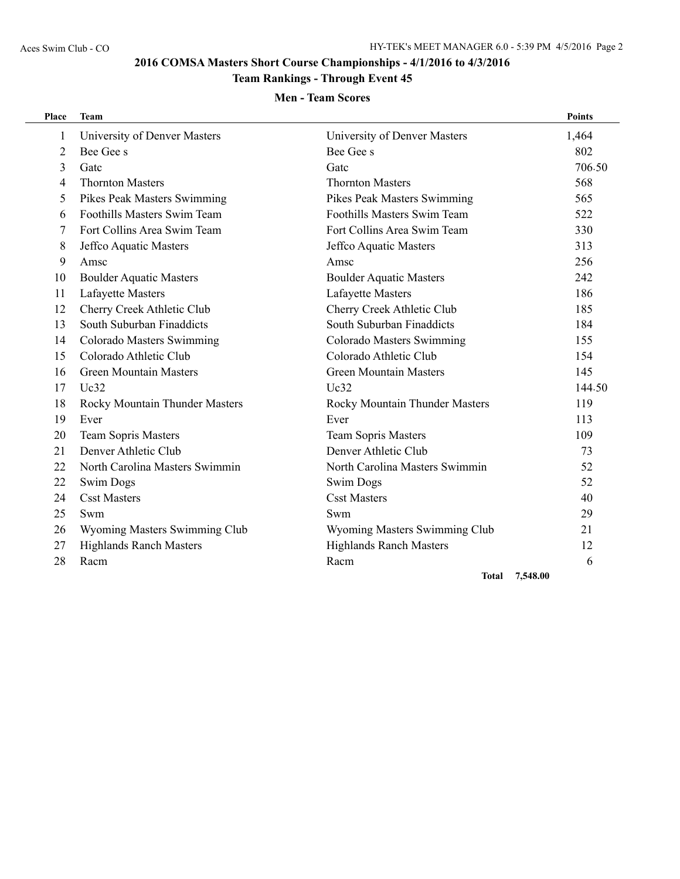# **2016 COMSA Masters Short Course Championships - 4/1/2016 to 4/3/2016**

# **Team Rankings - Through Event 45**

### **Men - Team Scores**

| Place          | <b>Team</b>                    |                                | <b>Points</b> |
|----------------|--------------------------------|--------------------------------|---------------|
| 1              | University of Denver Masters   | University of Denver Masters   | 1,464         |
| 2              | Bee Gee s                      | Bee Gee s                      | 802           |
| 3              | Gatc                           | Gatc                           | 706.50        |
| $\overline{4}$ | <b>Thornton Masters</b>        | <b>Thornton Masters</b>        | 568           |
| 5              | Pikes Peak Masters Swimming    | Pikes Peak Masters Swimming    | 565           |
| 6              | Foothills Masters Swim Team    | Foothills Masters Swim Team    | 522           |
| 7              | Fort Collins Area Swim Team    | Fort Collins Area Swim Team    | 330           |
| 8              | Jeffco Aquatic Masters         | Jeffco Aquatic Masters         | 313           |
| 9              | Amsc                           | Amsc                           | 256           |
| 10             | <b>Boulder Aquatic Masters</b> | <b>Boulder Aquatic Masters</b> | 242           |
| 11             | Lafayette Masters              | Lafayette Masters              | 186           |
| 12             | Cherry Creek Athletic Club     | Cherry Creek Athletic Club     | 185           |
| 13             | South Suburban Finaddicts      | South Suburban Finaddicts      | 184           |
| 14             | Colorado Masters Swimming      | Colorado Masters Swimming      | 155           |
| 15             | Colorado Athletic Club         | Colorado Athletic Club         | 154           |
| 16             | <b>Green Mountain Masters</b>  | <b>Green Mountain Masters</b>  | 145           |
| 17             | Uc32                           | Uc32                           | 144.50        |
| 18             | Rocky Mountain Thunder Masters | Rocky Mountain Thunder Masters | 119           |
| 19             | Ever                           | Ever                           | 113           |
| 20             | <b>Team Sopris Masters</b>     | <b>Team Sopris Masters</b>     | 109           |
| 21             | Denver Athletic Club           | Denver Athletic Club           | 73            |
| 22             | North Carolina Masters Swimmin | North Carolina Masters Swimmin | 52            |
| 22             | <b>Swim Dogs</b>               | <b>Swim Dogs</b>               | 52            |
| 24             | <b>Csst Masters</b>            | <b>Csst Masters</b>            | 40            |
| 25             | Swm                            | Swm                            | 29            |
| 26             | Wyoming Masters Swimming Club  | Wyoming Masters Swimming Club  | 21            |
| 27             | <b>Highlands Ranch Masters</b> | <b>Highlands Ranch Masters</b> | 12            |
| 28             | Racm                           | Racm                           | 6             |

**Total 7,548.00**